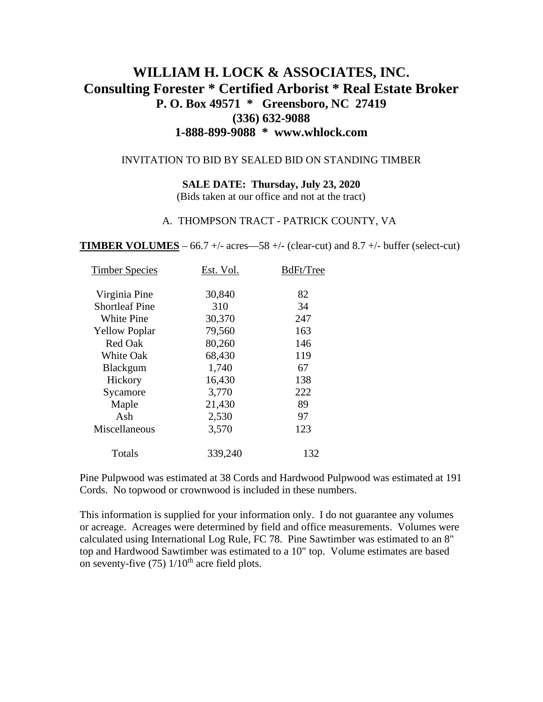# **WILLIAM H. LOCK & ASSOCIATES, INC. Consulting Forester \* Certified Arborist \* Real Estate Broker P. O. Box 49571 \* Greensboro, NC 27419 (336) 632-9088 1-888-899-9088 \* www.whlock.com**

#### INVITATION TO BID BY SEALED BID ON STANDING TIMBER

#### **SALE DATE: Thursday, July 23, 2020**

(Bids taken at our office and not at the tract)

#### A. THOMPSON TRACT - PATRICK COUNTY, VA

**TIMBER VOLUMES** – 66.7 +/- acres—58 +/- (clear-cut) and 8.7 +/- buffer (select-cut)

| 30,840<br>82<br>Virginia Pine<br><b>Shortleaf Pine</b><br>310<br>34<br>30,370<br>247<br>White Pine<br>79,560<br>163<br><b>Yellow Poplar</b><br>Red Oak<br>80,260<br>146<br>119<br>68,430<br><b>White Oak</b><br>1,740<br>67<br><b>Blackgum</b><br>16,430<br>138<br>Hickory<br>222<br>3,770<br>Sycamore<br>89<br>Maple<br>21,430<br>Ash<br>2,530<br>97<br>3,570<br>123<br>Miscellaneous<br>Totals<br>339,240<br>132 | <b>Timber Species</b> | Est. Vol. | BdFt/Tree |
|--------------------------------------------------------------------------------------------------------------------------------------------------------------------------------------------------------------------------------------------------------------------------------------------------------------------------------------------------------------------------------------------------------------------|-----------------------|-----------|-----------|
|                                                                                                                                                                                                                                                                                                                                                                                                                    |                       |           |           |
|                                                                                                                                                                                                                                                                                                                                                                                                                    |                       |           |           |
|                                                                                                                                                                                                                                                                                                                                                                                                                    |                       |           |           |
|                                                                                                                                                                                                                                                                                                                                                                                                                    |                       |           |           |
|                                                                                                                                                                                                                                                                                                                                                                                                                    |                       |           |           |
|                                                                                                                                                                                                                                                                                                                                                                                                                    |                       |           |           |
|                                                                                                                                                                                                                                                                                                                                                                                                                    |                       |           |           |
|                                                                                                                                                                                                                                                                                                                                                                                                                    |                       |           |           |
|                                                                                                                                                                                                                                                                                                                                                                                                                    |                       |           |           |
|                                                                                                                                                                                                                                                                                                                                                                                                                    |                       |           |           |
|                                                                                                                                                                                                                                                                                                                                                                                                                    |                       |           |           |
|                                                                                                                                                                                                                                                                                                                                                                                                                    |                       |           |           |
|                                                                                                                                                                                                                                                                                                                                                                                                                    |                       |           |           |

Pine Pulpwood was estimated at 38 Cords and Hardwood Pulpwood was estimated at 191 Cords. No topwood or crownwood is included in these numbers.

This information is supplied for your information only. I do not guarantee any volumes or acreage. Acreages were determined by field and office measurements. Volumes were calculated using International Log Rule, FC 78. Pine Sawtimber was estimated to an 8" top and Hardwood Sawtimber was estimated to a 10" top. Volume estimates are based on seventy-five  $(75)$  1/10<sup>th</sup> acre field plots.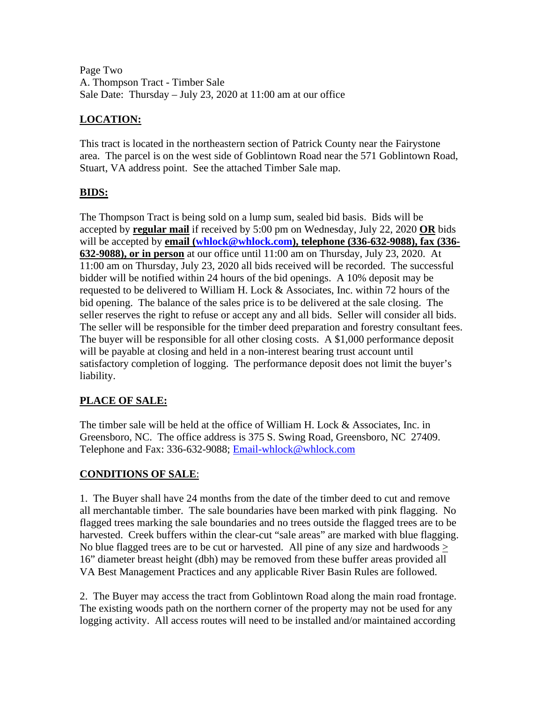Page Two A. Thompson Tract - Timber Sale Sale Date: Thursday – July 23, 2020 at 11:00 am at our office

## **LOCATION:**

This tract is located in the northeastern section of Patrick County near the Fairystone area. The parcel is on the west side of Goblintown Road near the 571 Goblintown Road, Stuart, VA address point. See the attached Timber Sale map.

## **BIDS:**

The Thompson Tract is being sold on a lump sum, sealed bid basis. Bids will be accepted by **regular mail** if received by 5:00 pm on Wednesday, July 22, 2020 **OR** bids will be accepted by **email [\(whlock@whlock.com\)](mailto:whlock@whlock.com), telephone (336-632-9088), fax (336- 632-9088), or in person** at our office until 11:00 am on Thursday, July 23, 2020. At 11:00 am on Thursday, July 23, 2020 all bids received will be recorded. The successful bidder will be notified within 24 hours of the bid openings. A 10% deposit may be requested to be delivered to William H. Lock & Associates, Inc. within 72 hours of the bid opening. The balance of the sales price is to be delivered at the sale closing. The seller reserves the right to refuse or accept any and all bids. Seller will consider all bids. The seller will be responsible for the timber deed preparation and forestry consultant fees. The buyer will be responsible for all other closing costs. A \$1,000 performance deposit will be payable at closing and held in a non-interest bearing trust account until satisfactory completion of logging. The performance deposit does not limit the buyer's liability.

## **PLACE OF SALE:**

The timber sale will be held at the office of William H. Lock & Associates, Inc. in Greensboro, NC. The office address is 375 S. Swing Road, Greensboro, NC 27409. Telephone and Fax: 336-632-9088; [Email-whlock@whlock.com](mailto:Email-whlock@whlock.com)

## **CONDITIONS OF SALE**:

1. The Buyer shall have 24 months from the date of the timber deed to cut and remove all merchantable timber. The sale boundaries have been marked with pink flagging. No flagged trees marking the sale boundaries and no trees outside the flagged trees are to be harvested. Creek buffers within the clear-cut "sale areas" are marked with blue flagging. No blue flagged trees are to be cut or harvested. All pine of any size and hardwoods > 16" diameter breast height (dbh) may be removed from these buffer areas provided all VA Best Management Practices and any applicable River Basin Rules are followed.

2. The Buyer may access the tract from Goblintown Road along the main road frontage. The existing woods path on the northern corner of the property may not be used for any logging activity. All access routes will need to be installed and/or maintained according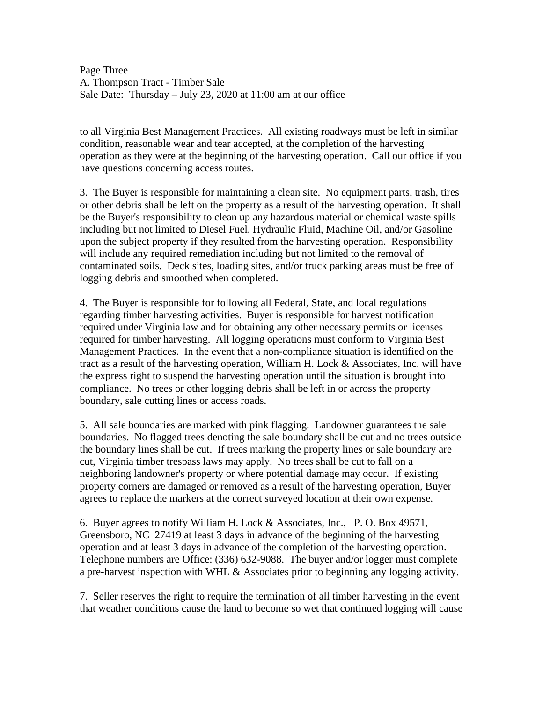Page Three A. Thompson Tract - Timber Sale Sale Date: Thursday – July 23, 2020 at 11:00 am at our office

to all Virginia Best Management Practices. All existing roadways must be left in similar condition, reasonable wear and tear accepted, at the completion of the harvesting operation as they were at the beginning of the harvesting operation. Call our office if you have questions concerning access routes.

3. The Buyer is responsible for maintaining a clean site. No equipment parts, trash, tires or other debris shall be left on the property as a result of the harvesting operation. It shall be the Buyer's responsibility to clean up any hazardous material or chemical waste spills including but not limited to Diesel Fuel, Hydraulic Fluid, Machine Oil, and/or Gasoline upon the subject property if they resulted from the harvesting operation. Responsibility will include any required remediation including but not limited to the removal of contaminated soils. Deck sites, loading sites, and/or truck parking areas must be free of logging debris and smoothed when completed.

4. The Buyer is responsible for following all Federal, State, and local regulations regarding timber harvesting activities. Buyer is responsible for harvest notification required under Virginia law and for obtaining any other necessary permits or licenses required for timber harvesting. All logging operations must conform to Virginia Best Management Practices. In the event that a non-compliance situation is identified on the tract as a result of the harvesting operation, William H. Lock & Associates, Inc. will have the express right to suspend the harvesting operation until the situation is brought into compliance. No trees or other logging debris shall be left in or across the property boundary, sale cutting lines or access roads.

5. All sale boundaries are marked with pink flagging. Landowner guarantees the sale boundaries. No flagged trees denoting the sale boundary shall be cut and no trees outside the boundary lines shall be cut. If trees marking the property lines or sale boundary are cut, Virginia timber trespass laws may apply. No trees shall be cut to fall on a neighboring landowner's property or where potential damage may occur. If existing property corners are damaged or removed as a result of the harvesting operation, Buyer agrees to replace the markers at the correct surveyed location at their own expense.

6. Buyer agrees to notify William H. Lock & Associates, Inc., P. O. Box 49571, Greensboro, NC 27419 at least 3 days in advance of the beginning of the harvesting operation and at least 3 days in advance of the completion of the harvesting operation. Telephone numbers are Office: (336) 632-9088. The buyer and/or logger must complete a pre-harvest inspection with WHL & Associates prior to beginning any logging activity.

7. Seller reserves the right to require the termination of all timber harvesting in the event that weather conditions cause the land to become so wet that continued logging will cause